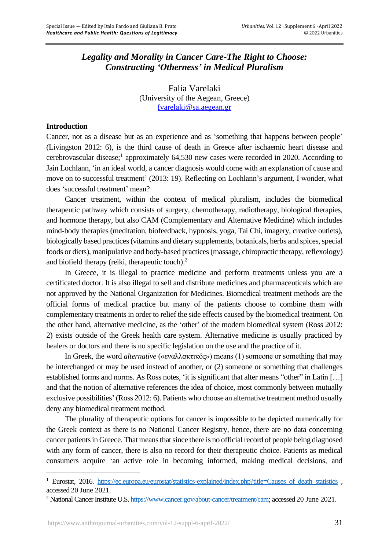# *Legality and Morality in Cancer Care-The Right to Choose: Constructing 'Otherness' in Medical Pluralism*

Falia Varelaki (University of the Aegean, Greece) [fvarelaki@sa.aegean.gr](mailto:fvarelaki@sa.aegean.gr)

# **Introduction**

Cancer, not as a disease but as an experience and as 'something that happens between people' (Livingston 2012: 6), is the third cause of death in Greece after ischaemic heart disease and cerebrovascular disease;<sup>1</sup> approximately 64,530 new cases were recorded in 2020. According to Jain Lochlann, 'in an ideal world, a cancer diagnosis would come with an explanation of cause and move on to successful treatment' (2013: 19). Reflecting on Lochlann's argument, I wonder, what does 'successful treatment' mean?

Cancer treatment, within the context of medical pluralism, includes the biomedical therapeutic pathway which consists of surgery, chemotherapy, radiotherapy, biological therapies, and hormone therapy, but also CAM (Complementary and Alternative Medicine) which includes mind-body therapies (meditation, biofeedback, hypnosis, yoga, Tai Chi, imagery, creative outlets), biologically based practices (vitamins and dietary supplements, botanicals, herbs and spices, special foods or diets), manipulative and body-based practices (massage, chiropractic therapy, reflexology) and biofield therapy (reiki, therapeutic touch).<sup>2</sup>

In Greece, it is illegal to practice medicine and perform treatments unless you are a certificated doctor. It is also illegal to sell and distribute medicines and pharmaceuticals which are not approved by the National Organization for Medicines. Biomedical treatment methods are the official forms of medical practice but many of the patients choose to combine them with complementary treatments in order to relief the side effects caused by the biomedical treatment. On the other hand, alternative medicine, as the 'other' of the modern biomedical system (Ross 2012: 2) exists outside of the Greek health care system. Alternative medicine is usually practiced by healers or doctors and there is no specific legislation on the use and the practice of it.

In Greek, the word *alternative* («εναλλακτικός») means (1) someone or something that may be interchanged or may be used instead of another, or (2) someone or something that challenges established forms and norms. As Ross notes, 'it is significant that alter means "other" in Latin […] and that the notion of alternative references the idea of choice, most commonly between mutually exclusive possibilities' (Ross 2012: 6). Patients who choose an alternative treatment method usually deny any biomedical treatment method.

The plurality of therapeutic options for cancer is impossible to be depicted numerically for the Greek context as there is no National Cancer Registry, hence, there are no data concerning cancer patients in Greece. That means that since there is no official record of people being diagnosed with any form of cancer, there is also no record for their therapeutic choice. Patients as medical consumers acquire 'an active role in becoming informed, making medical decisions, and

<sup>&</sup>lt;sup>1</sup> Eurostat, 2016. [https://ec.europa.eu/eurostat/statistics-explained/index.php?title=Causes\\_of\\_death\\_statistics](https://ec.europa.eu/eurostat/statistics-explained/index.php?title=Causes_of_death_statistics) , accessed 20 June 2021.

<sup>&</sup>lt;sup>2</sup> National Cancer Institute U.S[. https://www.cancer.gov/about-cancer/treatment/cam;](https://www.cancer.gov/about-cancer/treatment/cam) accessed 20 June 2021.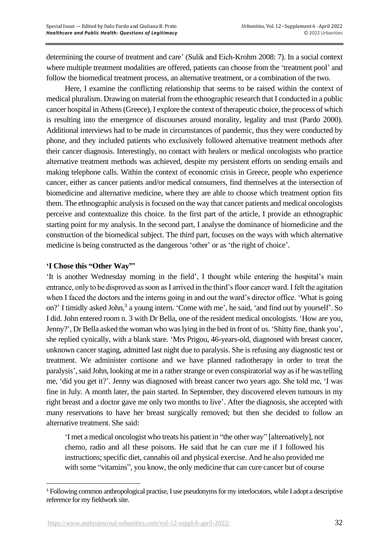determining the course of treatment and care' (Sulik and Eich-Krohm 2008: 7). In a social context where multiple treatment modalities are offered, patients can choose from the 'treatment pool' and follow the biomedical treatment process, an alternative treatment, or a combination of the two.

Here, I examine the conflicting relationship that seems to be raised within the context of medical pluralism. Drawing on material from the ethnographic research that I conducted in a public cancer hospital in Athens (Greece), I explore the context of therapeutic choice, the process of which is resulting into the emergence of discourses around morality, legality and trust (Pardo 2000). Additional interviews had to be made in circumstances of pandemic, thus they were conducted by phone, and they included patients who exclusively followed alternative treatment methods after their cancer diagnosis. Interestingly, no contact with healers or medical oncologists who practice alternative treatment methods was achieved, despite my persistent efforts on sending emails and making telephone calls. Within the context of economic crisis in Greece, people who experience cancer, either as cancer patients and/or medical consumers, find themselves at the intersection of biomedicine and alternative medicine, where they are able to choose which treatment option fits them. The ethnographic analysis is focused on the way that cancer patients and medical oncologists perceive and contextualize this choice. In the first part of the article, I provide an ethnographic starting point for my analysis. In the second part, I analyse the dominance of biomedicine and the construction of the biomedical subject. The third part, focuses on the ways with which alternative medicine is being constructed as the dangerous 'other' or as 'the right of choice'.

# **'I Chose this "Other Way"'**

'It is another Wednesday morning in the field', I thought while entering the hospital's main entrance, only to be disproved as soon as I arrived in the third's floor cancer ward. I felt the agitation when I faced the doctors and the interns going in and out the ward's director office. 'What is going on?' I timidly asked John,<sup>3</sup> a young intern. 'Come with me', he said, 'and find out by yourself'. So I did. John entered room n. 3 with Dr Bella, one of the resident medical oncologists. 'How are you, Jenny?', Dr Bella asked the woman who was lying in the bed in front of us. 'Shitty fine, thank you', she replied cynically, with a blank stare. 'Mrs Prigou, 46-years-old, diagnosed with breast cancer, unknown cancer staging, admitted last night due to paralysis. She is refusing any diagnostic test or treatment. We administer cortisone and we have planned radiotherapy in order to treat the paralysis', said John, looking at me in a rather strange or even conspiratorial way as if he was telling me, 'did you get it?'. Jenny was diagnosed with breast cancer two years ago. She told me, 'I was fine in July. A month later, the pain started. In September, they discovered eleven tumours in my right breast and a doctor gave me only two months to live'. After the diagnosis, she accepted with many reservations to have her breast surgically removed; but then she decided to follow an alternative treatment. She said:

'I met a medical oncologist who treats his patient in "the other way" [alternatively], not chemo, radio and all these poisons. He said that he can cure me if I followed his instructions; specific diet, cannabis oil and physical exercise. And he also provided me with some "vitamins", you know, the only medicine that can cure cancer but of course

<sup>3</sup> Following common anthropological practise, I use pseudonyms for my interlocutors, while I adopt a descriptive reference for my fieldwork site.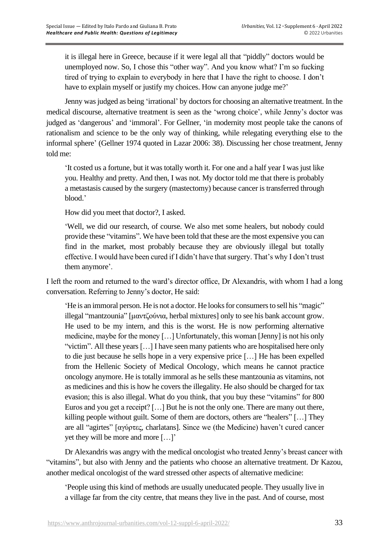it is illegal here in Greece, because if it were legal all that "piddly" doctors would be unemployed now. So, I chose this "other way". And you know what? I'm so fucking tired of trying to explain to everybody in here that I have the right to choose. I don't have to explain myself or justify my choices. How can anyone judge me?'

Jenny was judged as being 'irrational' by doctors for choosing an alternative treatment. In the medical discourse, alternative treatment is seen as the 'wrong choice', while Jenny's doctor was judged as 'dangerous' and 'immoral'. For Gellner, 'in modernity most people take the canons of rationalism and science to be the only way of thinking, while relegating everything else to the informal sphere' (Gellner 1974 quoted in Lazar 2006: 38). Discussing her chose treatment, Jenny told me:

'It costed us a fortune, but it was totally worth it. For one and a half year I was just like you. Healthy and pretty. And then, I was not. My doctor told me that there is probably a metastasis caused by the surgery (mastectomy) because cancer is transferred through blood.'

How did you meet that doctor?, I asked.

'Well, we did our research, of course. We also met some healers, but nobody could provide these "vitamins". We have been told that these are the most expensive you can find in the market, most probably because they are obviously illegal but totally effective. I would have been cured if I didn't have that surgery. That's why I don't trust them anymore'.

I left the room and returned to the ward's director office, Dr Alexandris, with whom I had a long conversation. Referring to Jenny's doctor, He said:

'He is an immoral person. He is not a doctor. He looks for consumers to sell his "magic" illegal "mantzounia" [μαντζούνια, herbal mixtures] only to see his bank account grow. He used to be my intern, and this is the worst. He is now performing alternative medicine, maybe for the money […] Unfortunately, this woman [Jenny] is not his only "victim". All these years […] I have seen many patients who are hospitalised here only to die just because he sells hope in a very expensive price […] He has been expelled from the Hellenic Society of Medical Oncology, which means he cannot practice oncology anymore. He is totally immoral as he sells these mantzounia as vitamins, not as medicines and this is how he covers the illegality. He also should be charged for tax evasion; this is also illegal. What do you think, that you buy these "vitamins" for 800 Euros and you get a receipt? […] But he is not the only one. There are many out there, killing people without guilt. Some of them are doctors, others are "healers" […] They are all "agirtes" [αγύρτες, charlatans]. Since we (the Medicine) haven't cured cancer yet they will be more and more […]'

Dr Alexandris was angry with the medical oncologist who treated Jenny's breast cancer with "vitamins", but also with Jenny and the patients who choose an alternative treatment. Dr Kazou, another medical oncologist of the ward stressed other aspects of alternative medicine:

'People using this kind of methods are usually uneducated people. They usually live in a village far from the city centre, that means they live in the past. And of course, most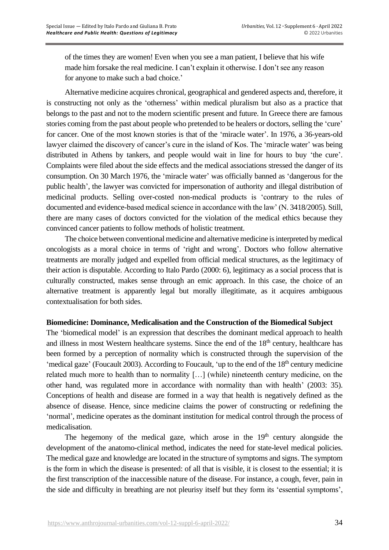of the times they are women! Even when you see a man patient, I believe that his wife made him forsake the real medicine. I can't explain it otherwise. I don't see any reason for anyone to make such a bad choice.'

Alternative medicine acquires chronical, geographical and gendered aspects and, therefore, it is constructing not only as the 'otherness' within medical pluralism but also as a practice that belongs to the past and not to the modern scientific present and future. In Greece there are famous stories coming from the past about people who pretended to be healers or doctors, selling the 'cure' for cancer. One of the most known stories is that of the 'miracle water'. In 1976, a 36-years-old lawyer claimed the discovery of cancer's cure in the island of Kos. The 'miracle water' was being distributed in Athens by tankers, and people would wait in line for hours to buy 'the cure'. Complaints were filed about the side effects and the medical associations stressed the danger of its consumption. On 30 March 1976, the 'miracle water' was officially banned as 'dangerous for the public health', the lawyer was convicted for impersonation of authority and illegal distribution of medicinal products. Selling over-costed non-medical products is 'contrary to the rules of documented and evidence-based medical science in accordance with the law' (N. 3418/2005). Still, there are many cases of doctors convicted for the violation of the medical ethics because they convinced cancer patients to follow methods of holistic treatment.

The choice between conventional medicine and alternative medicine is interpreted by medical oncologists as a moral choice in terms of 'right and wrong'. Doctors who follow alternative treatments are morally judged and expelled from official medical structures, as the legitimacy of their action is disputable. According to Italo Pardo (2000: 6), legitimacy as a social process that is culturally constructed, makes sense through an emic approach. In this case, the choice of an alternative treatment is apparently legal but morally illegitimate, as it acquires ambiguous contextualisation for both sides.

### **Biomedicine: Dominance, Medicalisation and the Construction of the Biomedical Subject**

The 'biomedical model' is an expression that describes the dominant medical approach to health and illness in most Western healthcare systems. Since the end of the 18<sup>th</sup> century, healthcare has been formed by a perception of normality which is constructed through the supervision of the 'medical gaze' (Foucault 2003). According to Foucault, 'up to the end of the  $18<sup>th</sup>$  century medicine related much more to health than to normality […] (while) nineteenth century medicine, on the other hand, was regulated more in accordance with normality than with health' (2003: 35). Conceptions of health and disease are formed in a way that health is negatively defined as the absence of disease. Hence, since medicine claims the power of constructing or redefining the 'normal', medicine operates as the dominant institution for medical control through the process of medicalisation.

The hegemony of the medical gaze, which arose in the  $19<sup>th</sup>$  century alongside the development of the anatomo-clinical method, indicates the need for state-level medical policies. The medical gaze and knowledge are located in the structure of symptoms and signs. The symptom is the form in which the disease is presented: of all that is visible, it is closest to the essential; it is the first transcription of the inaccessible nature of the disease. For instance, a cough, fever, pain in the side and difficulty in breathing are not pleurisy itself but they form its 'essential symptoms',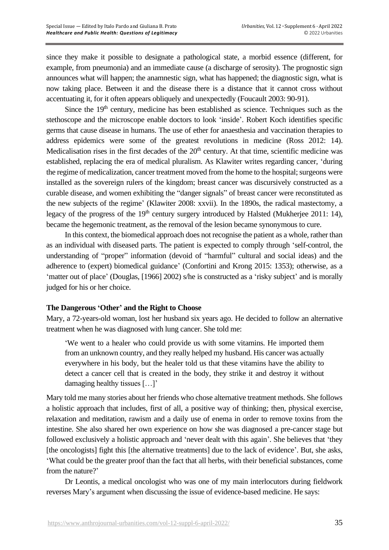since they make it possible to designate a pathological state, a morbid essence (different, for example, from pneumonia) and an immediate cause (a discharge of serosity). The prognostic sign announces what will happen; the anamnestic sign, what has happened; the diagnostic sign, what is now taking place. Between it and the disease there is a distance that it cannot cross without accentuating it, for it often appears obliquely and unexpectedly (Foucault 2003: 90-91).

Since the  $19<sup>th</sup>$  century, medicine has been established as science. Techniques such as the stethoscope and the microscope enable doctors to look 'inside'. Robert Koch identifies specific germs that cause disease in humans. The use of ether for anaesthesia and vaccination therapies to address epidemics were some of the greatest revolutions in medicine (Ross 2012: 14). Medicalisation rises in the first decades of the  $20<sup>th</sup>$  century. At that time, scientific medicine was established, replacing the era of medical pluralism. As Klawiter writes regarding cancer, 'during the regime of medicalization, cancer treatment moved from the home to the hospital; surgeons were installed as the sovereign rulers of the kingdom; breast cancer was discursively constructed as a curable disease, and women exhibiting the "danger signals" of breast cancer were reconstituted as the new subjects of the regime' (Klawiter 2008: xxvii). In the 1890s, the radical mastectomy, a legacy of the progress of the 19<sup>th</sup> century surgery introduced by Halsted (Mukherjee 2011: 14), became the hegemonic treatment, as the removal of the lesion became synonymous to cure.

In this context, the biomedical approach does not recognise the patient as a whole, rather than as an individual with diseased parts. The patient is expected to comply through 'self-control, the understanding of "proper" information (devoid of "harmful" cultural and social ideas) and the adherence to (expert) biomedical guidance' (Confortini and Krong 2015: 1353); otherwise, as a 'matter out of place' (Douglas, [1966] 2002) s/he is constructed as a 'risky subject' and is morally judged for his or her choice.

# **The Dangerous 'Other' and the Right to Choose**

Mary, a 72-years-old woman, lost her husband six years ago. He decided to follow an alternative treatment when he was diagnosed with lung cancer. She told me:

'We went to a healer who could provide us with some vitamins. He imported them from an unknown country, and they really helped my husband. His cancer was actually everywhere in his body, but the healer told us that these vitamins have the ability to detect a cancer cell that is created in the body, they strike it and destroy it without damaging healthy tissues […]'

Mary told me many stories about her friends who chose alternative treatment methods. She follows a holistic approach that includes, first of all, a positive way of thinking; then, physical exercise, relaxation and meditation, rawism and a daily use of enema in order to remove toxins from the intestine. She also shared her own experience on how she was diagnosed a pre-cancer stage but followed exclusively a holistic approach and 'never dealt with this again'. She believes that 'they [the oncologists] fight this [the alternative treatments] due to the lack of evidence'. But, she asks, 'What could be the greater proof than the fact that all herbs, with their beneficial substances, come from the nature?'

Dr Leontis, a medical oncologist who was one of my main interlocutors during fieldwork reverses Mary's argument when discussing the issue of evidence-based medicine. He says: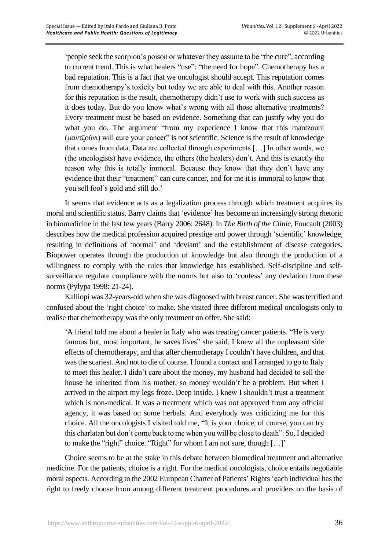'people seek the scorpion's poison or whatever they assume to be "the cure", according to current trend. This is what healers "use": "the need for hope". Chemotherapy has a bad reputation. This is a fact that we oncologist should accept. This reputation comes from chemotherapy's toxicity but today we are able to deal with this. Another reason for this reputation is the result, chemotherapy didn't use to work with such success as it does today. But do you know what's wrong with all those alternative treatments? Every treatment must be based on evidence. Something that can justify why you do what you do. The argument "from my experience I know that this mantzouni (μαντζούνι) will cure your cancer" is not scientific. Science is the result of knowledge that comes from data. Data are collected through experiments […] In other words, we (the oncologists) have evidence, the others (the healers) don't. And this is exactly the reason why this is totally immoral. Because they know that they don't have any evidence that their "treatment" can cure cancer, and for me it is immoral to know that you sell fool's gold and still do.'

It seems that evidence acts as a legalization process through which treatment acquires its moral and scientific status. Barry claims that 'evidence' has become an increasingly strong rhetoric in biomedicine in the last few years (Barry 2006: 2648). In *The Birth of the Clinic*, Foucault (2003) describes how the medical profession acquired prestige and power through 'scientific' knowledge, resulting in definitions of 'normal' and 'deviant' and the establishment of disease categories. Biopower operates through the production of knowledge but also through the production of a willingness to comply with the rules that knowledge has established. Self-discipline and selfsurveillance regulate compliance with the norms but also to 'confess' any deviation from these norms (Pylypa 1998: 21-24).

Kalliopi was 32-years-old when she was diagnosed with breast cancer. She was terrified and confused about the 'right choice' to make. She visited three different medical oncologists only to realise that chemotherapy was the only treatment on offer. She said:

'A friend told me about a healer in Italy who was treating cancer patients. "He is very famous but, most important, he saves lives" she said. I knew all the unpleasant side effects of chemotherapy, and that after chemotherapy I couldn't have children, and that was the scariest. And not to die of course. I found a contact and I arranged to go to Italy to meet this healer. I didn't care about the money, my husband had decided to sell the house he inherited from his mother, so money wouldn't be a problem. But when I arrived in the airport my legs froze. Deep inside, I knew I shouldn't trust a treatment which is non-medical. It was a treatment which was not approved from any official agency, it was based on some herbals. And everybody was criticizing me for this choice. All the oncologists I visited told me, "It is your choice, of course, you can try this charlatan but don't come back to me when you will be close to death". So, I decided to make the "right" choice. "Right" for whom I am not sure, though […]'

Choice seems to be at the stake in this debate between biomedical treatment and alternative medicine. For the patients, choice is a right. For the medical oncologists, choice entails negotiable moral aspects. According to the 2002 European Charter of Patients' Rights 'each individual has the right to freely choose from among different treatment procedures and providers on the basis of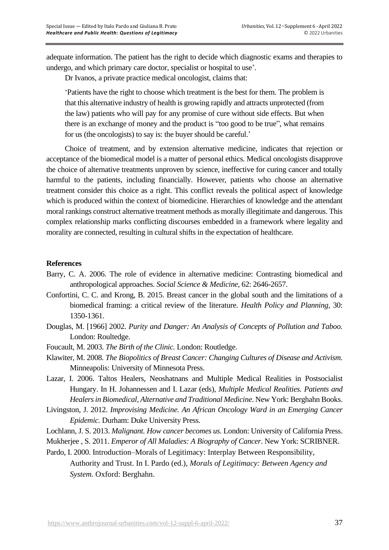adequate information. The patient has the right to decide which diagnostic exams and therapies to undergo, and which primary care doctor, specialist or hospital to use'.

Dr Ivanos, a private practice medical oncologist, claims that:

'Patients have the right to choose which treatment is the best for them. The problem is that this alternative industry of health is growing rapidly and attracts unprotected (from the law) patients who will pay for any promise of cure without side effects. But when there is an exchange of money and the product is "too good to be true", what remains for us (the oncologists) to say is: the buyer should be careful.'

Choice of treatment, and by extension alternative medicine, indicates that rejection or acceptance of the biomedical model is a matter of personal ethics. Medical oncologists disapprove the choice of alternative treatments unproven by science, ineffective for curing cancer and totally harmful to the patients, including financially. However, patients who choose an alternative treatment consider this choice as a right. This conflict reveals the political aspect of knowledge which is produced within the context of biomedicine. Hierarchies of knowledge and the attendant moral rankings construct alternative treatment methods as morally illegitimate and dangerous. This complex relationship marks conflicting discourses embedded in a framework where legality and morality are connected, resulting in cultural shifts in the expectation of healthcare.

### **References**

- Barry, C. A. 2006. The role of evidence in alternative medicine: Contrasting biomedical and anthropological approaches. *Social Science & Medicine*, 62: 2646-2657.
- Confortini, C. C. and Krong, B. 2015. Breast cancer in the global south and the limitations of a biomedical framing: a critical review of the literature. *Health Policy and Planning*, 30: 1350-1361.
- Douglas, M. [1966] 2002. *Purity and Danger: An Analysis of Concepts of Pollution and Taboo.* London: Roultedge.
- Foucault, M. 2003. *The Birth of the Clinic.* London: Routledge.
- Klawiter, M. 2008. *The Biopolitics of Breast Cancer: Changing Cultures of Disease and Activism.* Minneapolis: University of Minnesota Press.
- Lazar, I. 2006. Taltos Healers, Neoshatnans and Multiple Medical Realities in Postsocialist Hungary. In H. Johannessen and I. Lazar (eds), *Multiple Medical Realities. Patients and Healers in Biomedical, Alternative and Traditional Medicine*. New York: Berghahn Books.
- Livingston, J. 2012. *Improvising Medicine. An African Oncology Ward in an Emerging Cancer Epidemic.* Durham: Duke University Press.
- Lochlann, J. S. 2013. *Malignant. How cancer becomes us.* London: University of California Press.
- Mukherjee , S. 2011. *Emperor of All Maladies: A Biography of Cancer.* New York: SCRIBNER.
- Pardo, I. 2000. Introduction–Morals of Legitimacy: Interplay Between Responsibility, Authority and Trust. In I. Pardo (ed.), *Morals of Legitimacy: Between Agency and System.* Oxford: Berghahn.